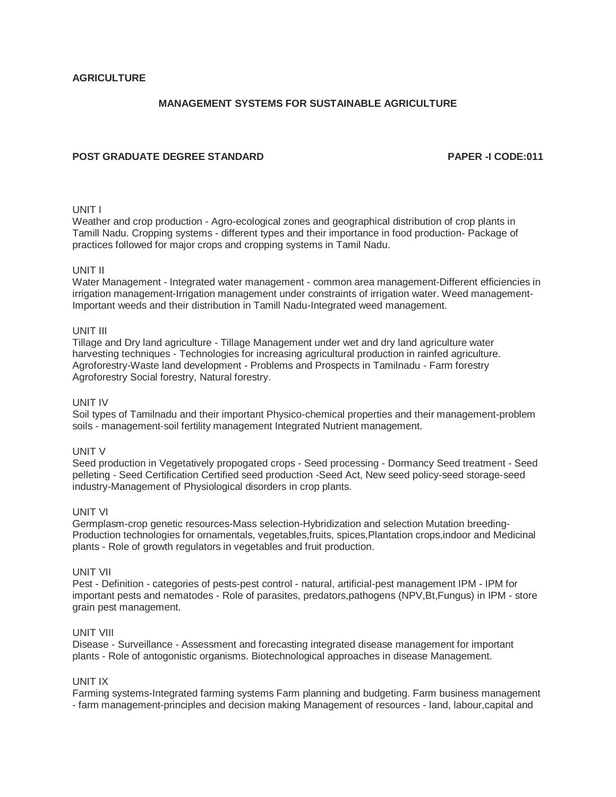# **MANAGEMENT SYSTEMS FOR SUSTAINABLE AGRICULTURE**

# **POST GRADUATE DEGREE STANDARD PAPER -I CODE:011**

#### UNIT I

Weather and crop production - Agro-ecological zones and geographical distribution of crop plants in Tamill Nadu. Cropping systems - different types and their importance in food production- Package of practices followed for major crops and cropping systems in Tamil Nadu.

#### UNIT II

Water Management - Integrated water management - common area management-Different efficiencies in irrigation management-Irrigation management under constraints of irrigation water. Weed management-Important weeds and their distribution in Tamill Nadu-Integrated weed management.

#### UNIT III

Tillage and Dry land agriculture - Tillage Management under wet and dry land agriculture water harvesting techniques - Technologies for increasing agricultural production in rainfed agriculture. Agroforestry-Waste land development - Problems and Prospects in Tamilnadu - Farm forestry Agroforestry Social forestry, Natural forestry.

#### UNIT IV

Soil types of Tamilnadu and their important Physico-chemical properties and their management-problem soils - management-soil fertility management Integrated Nutrient management.

#### UNIT V

Seed production in Vegetatively propogated crops - Seed processing - Dormancy Seed treatment - Seed pelleting - Seed Certification Certified seed production -Seed Act, New seed policy-seed storage-seed industry-Management of Physiological disorders in crop plants.

#### UNIT VI

Germplasm-crop genetic resources-Mass selection-Hybridization and selection Mutation breeding-Production technologies for ornamentals, vegetables,fruits, spices,Plantation crops,indoor and Medicinal plants - Role of growth regulators in vegetables and fruit production.

#### UNIT VII

Pest - Definition - categories of pests-pest control - natural, artificial-pest management IPM - IPM for important pests and nematodes - Role of parasites, predators,pathogens (NPV,Bt,Fungus) in IPM - store grain pest management.

#### UNIT VIII

Disease - Surveillance - Assessment and forecasting integrated disease management for important plants - Role of antogonistic organisms. Biotechnological approaches in disease Management.

#### UNIT IX

Farming systems-Integrated farming systems Farm planning and budgeting. Farm business management - farm management-principles and decision making Management of resources - land, labour,capital and